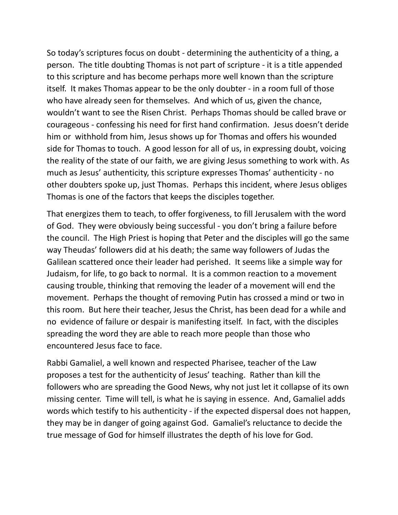So today's scriptures focus on doubt - determining the authenticity of a thing, a person. The title doubting Thomas is not part of scripture - it is a title appended to this scripture and has become perhaps more well known than the scripture itself. It makes Thomas appear to be the only doubter - in a room full of those who have already seen for themselves. And which of us, given the chance, wouldn't want to see the Risen Christ. Perhaps Thomas should be called brave or courageous - confessing his need for first hand confirmation. Jesus doesn't deride him or withhold from him, Jesus shows up for Thomas and offers his wounded side for Thomas to touch. A good lesson for all of us, in expressing doubt, voicing the reality of the state of our faith, we are giving Jesus something to work with. As much as Jesus' authenticity, this scripture expresses Thomas' authenticity - no other doubters spoke up, just Thomas. Perhaps this incident, where Jesus obliges Thomas is one of the factors that keeps the disciples together.

That energizes them to teach, to offer forgiveness, to fill Jerusalem with the word of God. They were obviously being successful - you don't bring a failure before the council. The High Priest is hoping that Peter and the disciples will go the same way Theudas' followers did at his death; the same way followers of Judas the Galilean scattered once their leader had perished. It seems like a simple way for Judaism, for life, to go back to normal. It is a common reaction to a movement causing trouble, thinking that removing the leader of a movement will end the movement. Perhaps the thought of removing Putin has crossed a mind or two in this room. But here their teacher, Jesus the Christ, has been dead for a while and no evidence of failure or despair is manifesting itself. In fact, with the disciples spreading the word they are able to reach more people than those who encountered Jesus face to face.

Rabbi Gamaliel, a well known and respected Pharisee, teacher of the Law proposes a test for the authenticity of Jesus' teaching. Rather than kill the followers who are spreading the Good News, why not just let it collapse of its own missing center. Time will tell, is what he is saying in essence. And, Gamaliel adds words which testify to his authenticity - if the expected dispersal does not happen, they may be in danger of going against God. Gamaliel's reluctance to decide the true message of God for himself illustrates the depth of his love for God.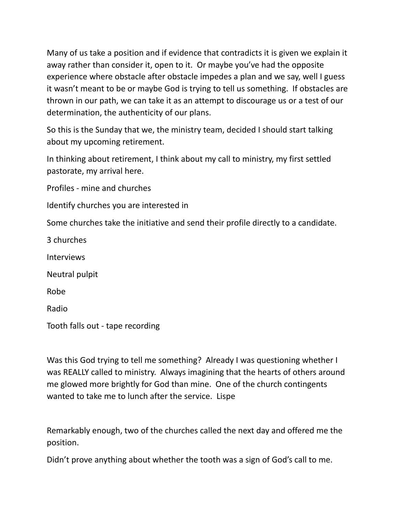Many of us take a position and if evidence that contradicts it is given we explain it away rather than consider it, open to it. Or maybe you've had the opposite experience where obstacle after obstacle impedes a plan and we say, well I guess it wasn't meant to be or maybe God is trying to tell us something. If obstacles are thrown in our path, we can take it as an attempt to discourage us or a test of our determination, the authenticity of our plans.

So this is the Sunday that we, the ministry team, decided I should start talking about my upcoming retirement.

In thinking about retirement, I think about my call to ministry, my first settled pastorate, my arrival here.

Profiles - mine and churches

Identify churches you are interested in

Some churches take the initiative and send their profile directly to a candidate.

3 churches Interviews Neutral pulpit Robe Radio

Tooth falls out - tape recording

Was this God trying to tell me something? Already I was questioning whether I was REALLY called to ministry. Always imagining that the hearts of others around me glowed more brightly for God than mine. One of the church contingents wanted to take me to lunch after the service. Lispe

Remarkably enough, two of the churches called the next day and offered me the position.

Didn't prove anything about whether the tooth was a sign of God's call to me.